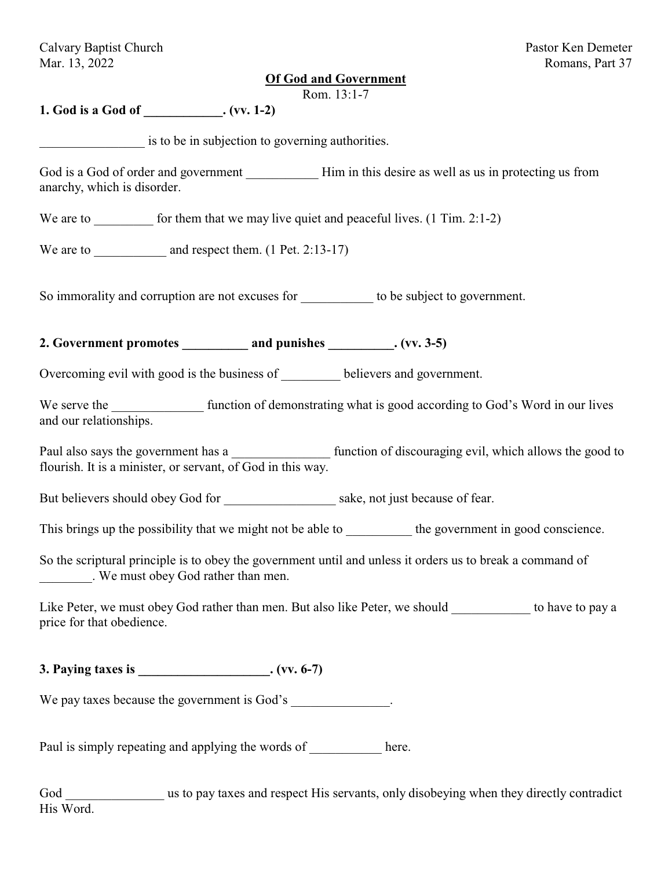Calvary Baptist Church Pastor Ken Demeter Mar. 13, 2022 Romans, Part 37

#### **Of God and Government**

Rom. 13:1-7

**1. God is a God of \_\_\_\_\_\_\_\_\_\_\_\_. (vv. 1-2)**

is to be in subjection to governing authorities.

God is a God of order and government Him in this desire as well as us in protecting us from anarchy, which is disorder.

We are to  $\blacksquare$  for them that we may live quiet and peaceful lives. (1 Tim. 2:1-2)

We are to  $\qquad \qquad$  and respect them. (1 Pet. 2:13-17)

So immorality and corruption are not excuses for to be subject to government.

2. Government promotes and punishes (vv. 3-5)

Overcoming evil with good is the business of believers and government.

We serve the function of demonstrating what is good according to God's Word in our lives and our relationships.

Paul also says the government has a  $\qquad \qquad$  function of discouraging evil, which allows the good to flourish. It is a minister, or servant, of God in this way.

But believers should obey God for \_\_\_\_\_\_\_\_\_\_\_\_\_\_\_\_ sake, not just because of fear.

This brings up the possibility that we might not be able to the government in good conscience.

So the scriptural principle is to obey the government until and unless it orders us to break a command of \_\_\_\_\_\_\_\_. We must obey God rather than men.

Like Peter, we must obey God rather than men. But also like Peter, we should to have to pay a price for that obedience.

**3. Paying taxes is \_\_\_\_\_\_\_\_\_\_\_\_\_\_\_\_\_\_\_\_. (vv. 6-7)**

We pay taxes because the government is God's  $\blacksquare$ 

Paul is simply repeating and applying the words of here.

God us to pay taxes and respect His servants, only disobeying when they directly contradict His Word.